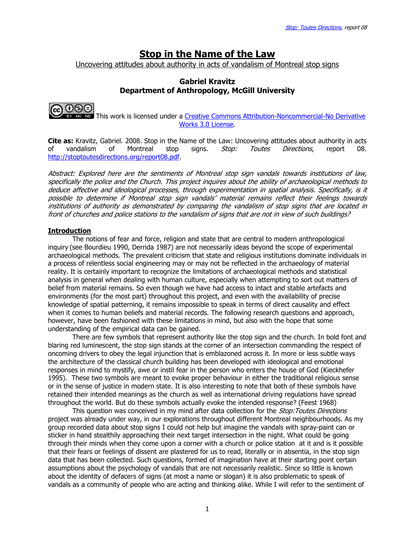# Stop in the Name of the Law

Uncovering attitudes about authority in acts of vandalism of Montreal stop signs

## Gabriel Kravitz Department of Anthropology, McGill University



 This work is licensed under a Creative Commons Attribution-Noncommercial-No Derivative Works 3.0 License.

Cite as: Kravitz, Gabriel. 2008. Stop in the Name of the Law: Uncovering attitudes about authority in acts of vandalism of Montreal stop signs. *Stop: Toutes Directions*, report 08. http://stoptoutesdirections.org/report08.pdf.

Abstract: Explored here are the sentiments of Montreal stop sign vandals towards institutions of law, specifically the police and the Church. This project inquires about the ability of archaeological methods to deduce affective and ideological processes, through experimentation in spatial analysis. Specifically, is it possible to determine if Montreal stop sign vandals' material remains reflect their feelings towards institutions of authority as demonstrated by comparing the vandalism of stop signs that are located in front of churches and police stations to the vandalism of signs that are not in view of such buildings?

#### Introduction

The notions of fear and force, religion and state that are central to modern anthropological inquiry (see Bourdieu 1990, Derrida 1987) are not necessarily ideas beyond the scope of experimental archaeological methods. The prevalent criticism that state and religious institutions dominate individuals in a process of relentless social engineering may or may not be reflected in the archaeology of material reality. It is certainly important to recognize the limitations of archaeological methods and statistical analysis in general when dealing with human culture, especially when attempting to sort out matters of belief from material remains. So even though we have had access to intact and stable artefacts and environments (for the most part) throughout this project, and even with the availability of precise knowledge of spatial patterning, it remains impossible to speak in terms of direct causality and effect when it comes to human beliefs and material records. The following research questions and approach, however, have been fashioned with these limitations in mind, but also with the hope that some understanding of the empirical data can be gained.

There are few symbols that represent authority like the stop sign and the church. In bold font and blaring red luminescent, the stop sign stands at the corner of an intersection commanding the respect of oncoming drivers to obey the legal injunction that is emblazoned across it. In more or less subtle ways the architecture of the classical church building has been developed with ideological and emotional responses in mind to mystify, awe or instil fear in the person who enters the house of God (Kieckhefer 1995). These two symbols are meant to evoke proper behaviour in either the traditional religious sense or in the sense of justice in modern state. It is also interesting to note that both of these symbols have retained their intended meanings as the church as well as international driving regulations have spread throughout the world. But do these symbols actually evoke the intended response? (Feest 1968)

This question was conceived in my mind after data collection for the Stop: Toutes Directions project was already under way, in our explorations throughout different Montreal neighbourhoods. As my group recorded data about stop signs I could not help but imagine the vandals with spray-paint can or sticker in hand stealthily approaching their next target intersection in the night. What could be going through their minds when they come upon a corner with a church or police station at it and is it possible that their fears or feelings of dissent are plastered for us to read, literally or in absentia, in the stop sign data that has been collected. Such questions, formed of imagination have at their starting point certain assumptions about the psychology of vandals that are not necessarily realistic. Since so little is known about the identity of defacers of signs (at most a name or slogan) it is also problematic to speak of vandals as a community of people who are acting and thinking alike. While I will refer to the sentiment of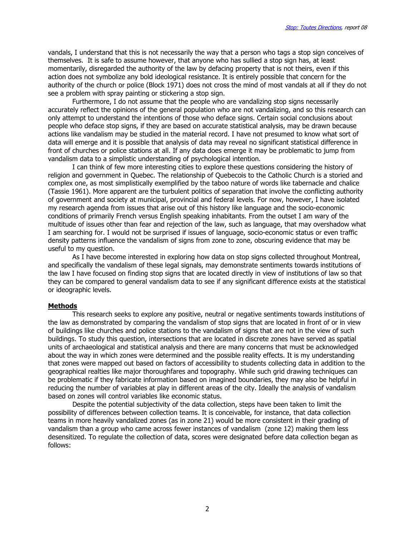vandals, I understand that this is not necessarily the way that a person who tags a stop sign conceives of themselves. It is safe to assume however, that anyone who has sullied a stop sign has, at least momentarily, disregarded the authority of the law by defacing property that is not theirs, even if this action does not symbolize any bold ideological resistance. It is entirely possible that concern for the authority of the church or police (Block 1971) does not cross the mind of most vandals at all if they do not see a problem with spray painting or stickering a stop sign.

Furthermore, I do not assume that the people who are vandalizing stop signs necessarily accurately reflect the opinions of the general population who are not vandalizing, and so this research can only attempt to understand the intentions of those who deface signs. Certain social conclusions about people who deface stop signs, if they are based on accurate statistical analysis, may be drawn because actions like vandalism may be studied in the material record. I have not presumed to know what sort of data will emerge and it is possible that analysis of data may reveal no significant statistical difference in front of churches or police stations at all. If any data does emerge it may be problematic to jump from vandalism data to a simplistic understanding of psychological intention.

I can think of few more interesting cities to explore these questions considering the history of religion and government in Quebec. The relationship of Quebecois to the Catholic Church is a storied and complex one, as most simplistically exemplified by the taboo nature of words like tabernacle and chalice (Tassie 1961). More apparent are the turbulent politics of separation that involve the conflicting authority of government and society at municipal, provincial and federal levels. For now, however, I have isolated my research agenda from issues that arise out of this history like language and the socio-economic conditions of primarily French versus English speaking inhabitants. From the outset I am wary of the multitude of issues other than fear and rejection of the law, such as language, that may overshadow what I am searching for. I would not be surprised if issues of language, socio-economic status or even traffic density patterns influence the vandalism of signs from zone to zone, obscuring evidence that may be useful to my question.

As I have become interested in exploring how data on stop signs collected throughout Montreal, and specifically the vandalism of these legal signals, may demonstrate sentiments towards institutions of the law I have focused on finding stop signs that are located directly in view of institutions of law so that they can be compared to general vandalism data to see if any significant difference exists at the statistical or ideographic levels.

#### Methods

This research seeks to explore any positive, neutral or negative sentiments towards institutions of the law as demonstrated by comparing the vandalism of stop signs that are located in front of or in view of buildings like churches and police stations to the vandalism of signs that are not in the view of such buildings. To study this question, intersections that are located in discrete zones have served as spatial units of archaeological and statistical analysis and there are many concerns that must be acknowledged about the way in which zones were determined and the possible reality effects. It is my understanding that zones were mapped out based on factors of accessibility to students collecting data in addition to the geographical realties like major thoroughfares and topography. While such grid drawing techniques can be problematic if they fabricate information based on imagined boundaries, they may also be helpful in reducing the number of variables at play in different areas of the city. Ideally the analysis of vandalism based on zones will control variables like economic status.

Despite the potential subjectivity of the data collection, steps have been taken to limit the possibility of differences between collection teams. It is conceivable, for instance, that data collection teams in more heavily vandalized zones (as in zone 21) would be more consistent in their grading of vandalism than a group who came across fewer instances of vandalism (zone 12) making them less desensitized. To regulate the collection of data, scores were designated before data collection began as follows: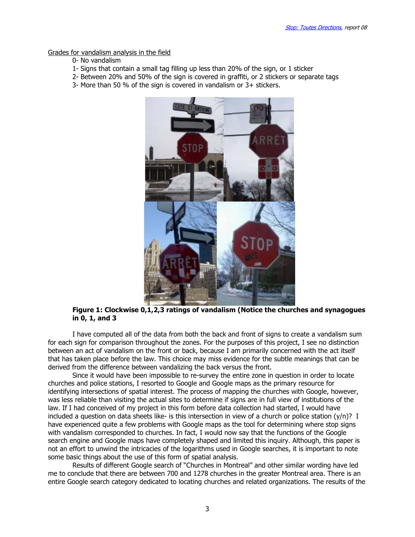Grades for vandalism analysis in the field

- 0- No vandalism
- 1- Signs that contain a small tag filling up less than 20% of the sign, or 1 sticker
- 2- Between 20% and 50% of the sign is covered in graffiti, or 2 stickers or separate tags
- 3- More than 50 % of the sign is covered in vandalism or 3+ stickers.



#### Figure 1: Clockwise 0,1,2,3 ratings of vandalism (Notice the churches and synagogues in 0, 1, and 3

I have computed all of the data from both the back and front of signs to create a vandalism sum for each sign for comparison throughout the zones. For the purposes of this project, I see no distinction between an act of vandalism on the front or back, because I am primarily concerned with the act itself that has taken place before the law. This choice may miss evidence for the subtle meanings that can be derived from the difference between vandalizing the back versus the front.

Since it would have been impossible to re-survey the entire zone in question in order to locate churches and police stations, I resorted to Google and Google maps as the primary resource for identifying intersections of spatial interest. The process of mapping the churches with Google, however, was less reliable than visiting the actual sites to determine if signs are in full view of institutions of the law. If I had conceived of my project in this form before data collection had started, I would have included a question on data sheets like- is this intersection in view of a church or police station  $(y/n)$ ? I have experienced quite a few problems with Google maps as the tool for determining where stop signs with vandalism corresponded to churches. In fact, I would now say that the functions of the Google search engine and Google maps have completely shaped and limited this inquiry. Although, this paper is not an effort to unwind the intricacies of the logarithms used in Google searches, it is important to note some basic things about the use of this form of spatial analysis.

Results of different Google search of "Churches in Montreal" and other similar wording have led me to conclude that there are between 700 and 1278 churches in the greater Montreal area. There is an entire Google search category dedicated to locating churches and related organizations. The results of the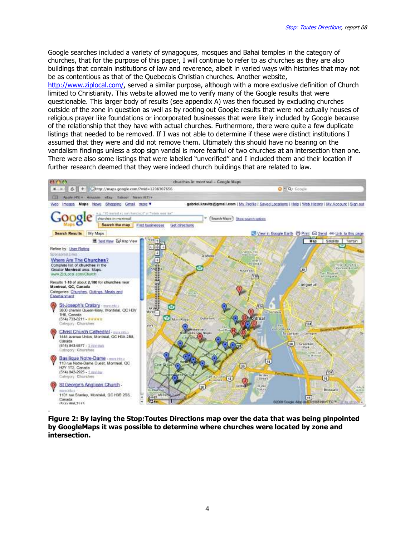Google searches included a variety of synagogues, mosques and Bahai temples in the category of churches, that for the purpose of this paper, I will continue to refer to as churches as they are also buildings that contain institutions of law and reverence, albeit in varied ways with histories that may not be as contentious as that of the Quebecois Christian churches. Another website,

http://www.ziplocal.com/, served a similar purpose, although with a more exclusive definition of Church limited to Christianity. This website allowed me to verify many of the Google results that were questionable. This larger body of results (see appendix A) was then focused by excluding churches outside of the zone in question as well as by rooting out Google results that were not actually houses of religious prayer like foundations or incorporated businesses that were likely included by Google because of the relationship that they have with actual churches. Furthermore, there were quite a few duplicate listings that needed to be removed. If I was not able to determine if these were distinct institutions I assumed that they were and did not remove them. Ultimately this should have no bearing on the vandalism findings unless a stop sign vandal is more fearful of two churches at an intersection than one. There were also some listings that were labelled "unverified" and I included them and their location if further research deemed that they were indeed church buildings that are related to law.



Figure 2: By laying the Stop:Toutes Directions map over the data that was being pinpointed by GoogleMaps it was possible to determine where churches were located by zone and intersection.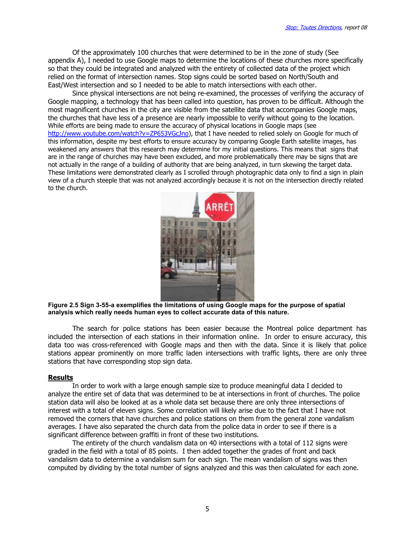Of the approximately 100 churches that were determined to be in the zone of study (See appendix A), I needed to use Google maps to determine the locations of these churches more specifically so that they could be integrated and analyzed with the entirety of collected data of the project which relied on the format of intersection names. Stop signs could be sorted based on North/South and East/West intersection and so I needed to be able to match intersections with each other.

Since physical intersections are not being re-examined, the processes of verifying the accuracy of Google mapping, a technology that has been called into question, has proven to be difficult. Although the most magnificent churches in the city are visible from the satellite data that accompanies Google maps, the churches that have less of a presence are nearly impossible to verify without going to the location. While efforts are being made to ensure the accuracy of physical locations in Google maps (see http://www.youtube.com/watch?v=ZP653VGcJno), that I have needed to relied solely on Google for much of this information, despite my best efforts to ensure accuracy by comparing Google Earth satellite images, has weakened any answers that this research may determine for my initial questions. This means that signs that are in the range of churches may have been excluded, and more problematically there may be signs that are not actually in the range of a building of authority that are being analyzed, in turn skewing the target data. These limitations were demonstrated clearly as I scrolled through photographic data only to find a sign in plain view of a church steeple that was not analyzed accordingly because it is not on the intersection directly related to the church.



Figure 2.5 Sign 3-55-a exemplifies the limitations of using Google maps for the purpose of spatial analysis which really needs human eyes to collect accurate data of this nature.

 The search for police stations has been easier because the Montreal police department has included the intersection of each stations in their information online. In order to ensure accuracy, this data too was cross-referenced with Google maps and then with the data. Since it is likely that police stations appear prominently on more traffic laden intersections with traffic lights, there are only three stations that have corresponding stop sign data.

#### **Results**

In order to work with a large enough sample size to produce meaningful data I decided to analyze the entire set of data that was determined to be at intersections in front of churches. The police station data will also be looked at as a whole data set because there are only three intersections of interest with a total of eleven signs. Some correlation will likely arise due to the fact that I have not removed the corners that have churches and police stations on them from the general zone vandalism averages. I have also separated the church data from the police data in order to see if there is a significant difference between graffiti in front of these two institutions.

The entirety of the church vandalism data on 40 intersections with a total of 112 signs were graded in the field with a total of 85 points. I then added together the grades of front and back vandalism data to determine a vandalism sum for each sign. The mean vandalism of signs was then computed by dividing by the total number of signs analyzed and this was then calculated for each zone.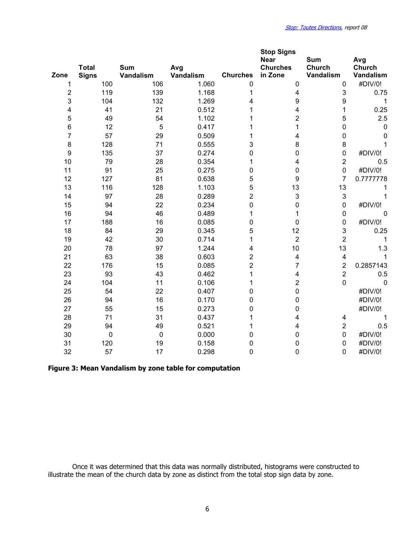| Zone                    | <b>Total</b><br><b>Signs</b> | <b>Sum</b><br>Vandalism | Avg<br>Vandalism | <b>Churches</b>         | <b>Stop Signs</b><br><b>Near</b><br><b>Churches</b><br>in Zone | <b>Sum</b><br><b>Church</b><br>Vandalism | Avg<br>Church<br>Vandalism |
|-------------------------|------------------------------|-------------------------|------------------|-------------------------|----------------------------------------------------------------|------------------------------------------|----------------------------|
| 1                       | 100                          | 106                     | 1.060            | $\mathbf 0$             | $\mathbf 0$                                                    | $\mathbf 0$                              | #DIV/0!                    |
| $\overline{\mathbf{c}}$ | 119                          | 139                     | 1.168            | 1                       | 4                                                              | 3                                        | 0.75                       |
| 3                       | 104                          | 132                     | 1.269            | 4                       | 9                                                              | 9                                        | 1                          |
| $\overline{\mathbf{4}}$ | 41                           | 21                      | 0.512            | 1                       | 4                                                              | 1                                        | 0.25                       |
| 5                       | 49                           | 54                      | 1.102            |                         | $\overline{\mathbf{c}}$                                        | 5                                        | 2.5                        |
| $6\phantom{1}$          | 12                           | 5                       | 0.417            |                         | $\mathbf{1}$                                                   | 0                                        | $\mathbf 0$                |
| $\overline{7}$          | 57                           | 29                      | 0.509            | 1                       | $\overline{\mathbf{4}}$                                        | 0                                        | $\mathbf 0$                |
| 8                       | 128                          | 71                      | 0.555            | 3                       | 8                                                              | 8                                        | 1                          |
| $\boldsymbol{9}$        | 135                          | 37                      | 0.274            | $\mathbf 0$             | $\mathbf 0$                                                    | $\mathbf 0$                              | #DIV/0!                    |
| 10                      | 79                           | 28                      | 0.354            | 1                       | $\overline{4}$                                                 | $\overline{2}$                           | 0.5                        |
| 11                      | 91                           | 25                      | 0.275            | 0                       | 0                                                              | $\mathbf 0$                              | #DIV/0!                    |
| 12                      | 127                          | 81                      | 0.638            | 5                       | 9                                                              | $\overline{7}$                           | 0.7777778                  |
| 13                      | 116                          | 128                     | 1.103            | 5                       | 13                                                             | 13                                       | 1                          |
| 14                      | 97                           | 28                      | 0.289            | $\overline{c}$          | $\mathbf{3}$                                                   | 3                                        | 1                          |
| 15                      | 94                           | 22                      | 0.234            | $\mathsf 0$             | $\mathsf 0$                                                    | $\mathbf 0$                              | #DIV/0!                    |
| 16                      | 94                           | 46                      | 0.489            | 1                       | 1                                                              | $\mathbf 0$                              | $\mathbf 0$                |
| 17                      | 188                          | 16                      | 0.085            | 0                       | $\mathbf 0$                                                    | $\mathbf 0$                              | #DIV/0!                    |
| 18                      | 84                           | 29                      | 0.345            | 5                       | 12                                                             | 3                                        | 0.25                       |
| 19                      | 42                           | 30                      | 0.714            | 1                       | $\overline{2}$                                                 | $\overline{2}$                           | 1                          |
| 20                      | 78                           | 97                      | 1.244            | 4                       | 10                                                             | 13                                       | 1.3                        |
| 21                      | 63                           | 38                      | 0.603            | $\overline{\mathbf{c}}$ | $\overline{\mathbf{4}}$                                        | $\overline{\mathbf{4}}$                  | 1                          |
| 22                      | 176                          | 15                      | 0.085            | $\overline{2}$          | $\overline{7}$                                                 | $\overline{2}$                           | 0.2857143                  |
| 23                      | 93                           | 43                      | 0.462            | 1                       | 4                                                              | $\overline{2}$                           | 0.5                        |
| 24                      | 104                          | 11                      | 0.106            | 1                       | $\overline{2}$                                                 | $\mathbf 0$                              | $\mathbf 0$                |
| 25                      | 54                           | 22                      | 0.407            | 0                       | $\mathbf 0$                                                    |                                          | #DIV/0!                    |
| 26                      | 94                           | 16                      | 0.170            | 0                       | $\mathbf 0$                                                    |                                          | #DIV/0!                    |
| 27                      | 55                           | 15                      | 0.273            | 0                       | $\mathbf 0$                                                    |                                          | #DIV/0!                    |
| 28                      | 71                           | 31                      | 0.437            | 1                       | 4                                                              | 4                                        | 1                          |
| 29                      | 94                           | 49                      | 0.521            | 1                       | 4                                                              | $\overline{2}$                           | 0.5                        |
| 30                      | $\pmb{0}$                    | $\pmb{0}$               | 0.000            | 0                       | $\pmb{0}$                                                      | $\mathbf 0$                              | #DIV/0!                    |
| 31                      | 120                          | 19                      | 0.158            | 0                       | 0                                                              | $\mathbf 0$                              | #DIV/0!                    |
| 32                      | 57                           | 17                      | 0.298            | $\overline{0}$          | $\overline{0}$                                                 | $\mathbf{0}$                             | #DIV/0!                    |

# Figure 3: Mean Vandalism by zone table for computation

Once it was determined that this data was normally distributed, histograms were constructed to illustrate the mean of the church data by zone as distinct from the total stop sign data by zone.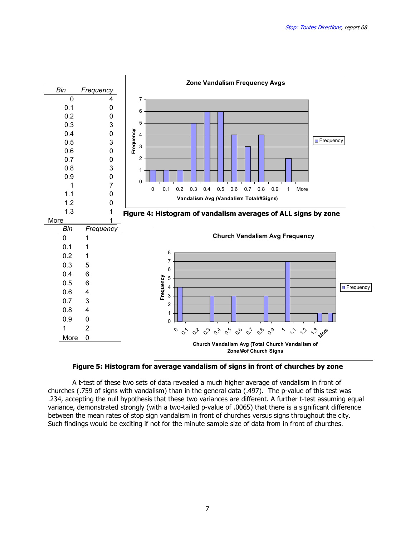

Figure 5: Histogram for average vandalism of signs in front of churches by zone

A t-test of these two sets of data revealed a much higher average of vandalism in front of churches (.759 of signs with vandalism) than in the general data (.497). The p-value of this test was .234, accepting the null hypothesis that these two variances are different. A further t-test assuming equal variance, demonstrated strongly (with a two-tailed p-value of .0065) that there is a significant difference between the mean rates of stop sign vandalism in front of churches versus signs throughout the city. Such findings would be exciting if not for the minute sample size of data from in front of churches.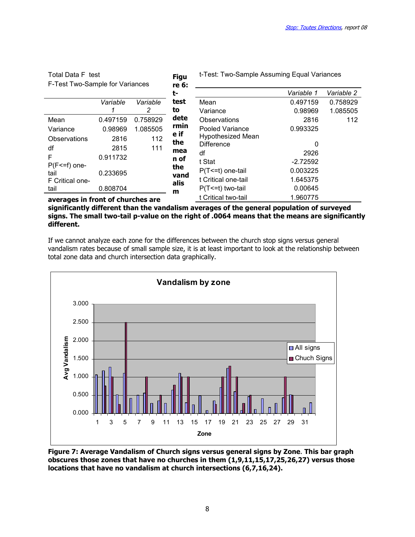| Total Data F test                 |          |          | <b>Figu</b> | t-Test: Two-Sample Assuming Equal Variances |            |            |  |  |
|-----------------------------------|----------|----------|-------------|---------------------------------------------|------------|------------|--|--|
| F-Test Two-Sample for Variances   |          |          | re 6:       |                                             |            |            |  |  |
|                                   |          |          | t-          |                                             | Variable 1 | Variable 2 |  |  |
|                                   | Variable | Variable | test        | Mean                                        | 0.497159   | 0.758929   |  |  |
|                                   |          | 2        | to          | Variance                                    | 0.98969    | 1.085505   |  |  |
| Mean                              | 0.497159 | 0.758929 | dete        | Observations                                | 2816       | 112        |  |  |
| Variance                          | 0.98969  | 1.085505 | rmin        | Pooled Variance                             | 0.993325   |            |  |  |
| <b>Observations</b>               | 2816     | 112      | e if<br>the | <b>Hypothesized Mean</b>                    |            |            |  |  |
| df                                | 2815     | 111      | mea         | <b>Difference</b>                           | 0          |            |  |  |
| F                                 | 0.911732 |          | n of        | df                                          | 2926       |            |  |  |
| $P(F \le f)$ one-                 |          |          | the         | t Stat                                      | $-2.72592$ |            |  |  |
| tail                              | 0.233695 |          | vand        | $P(T \le t)$ one-tail                       | 0.003225   |            |  |  |
| F Critical one-                   |          |          | alis        | t Critical one-tail                         | 1.645375   |            |  |  |
| tail                              | 0.808704 |          | m           | $P(T \le t)$ two-tail                       | 0.00645    |            |  |  |
| averages in front of churches are |          |          |             | t Critical two-tail                         | 1.960775   |            |  |  |

#### averages in front of churches are significantly different than the vandalism averages of the general population of surveyed signs. The small two-tail p-value on the right of .0064 means that the means are significantly different.

If we cannot analyze each zone for the differences between the church stop signs versus general vandalism rates because of small sample size, it is at least important to look at the relationship between total zone data and church intersection data graphically.



Figure 7: Average Vandalism of Church signs versus general signs by Zone. This bar graph obscures those zones that have no churches in them (1,9,11,15,17,25,26,27) versus those locations that have no vandalism at church intersections (6,7,16,24).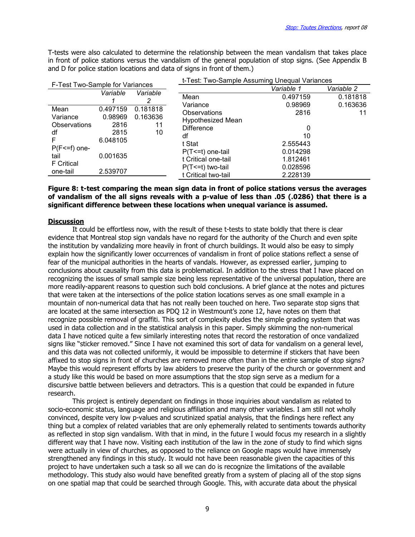T-tests were also calculated to determine the relationship between the mean vandalism that takes place in front of police stations versus the vandalism of the general population of stop signs. (See Appendix B and D for police station locations and data of signs in front of them.)

| F-Test Two-Sample for Variances                |                             |                            | t-Test: Two-Sample Assuming Unequal Variances                         |                                  |                      |  |  |  |
|------------------------------------------------|-----------------------------|----------------------------|-----------------------------------------------------------------------|----------------------------------|----------------------|--|--|--|
|                                                |                             |                            |                                                                       | Variable 1                       | Variable 2           |  |  |  |
|                                                | Variable                    | Variable                   | Mean<br>Variance                                                      | 0.497159<br>0.98969              | 0.181818<br>0.163636 |  |  |  |
| Mean<br>Variance<br><b>Observations</b>        | 0.497159<br>0.98969<br>2816 | 0.181818<br>0.163636<br>11 | <b>Observations</b><br><b>Hypothesized Mean</b>                       | 2816                             |                      |  |  |  |
| df<br>F                                        | 2815<br>10<br>6.048105      |                            | <b>Difference</b><br>df<br>t Stat                                     | 10<br>2.555443                   |                      |  |  |  |
| $P(F \le f)$ one-<br>tail<br><b>F</b> Critical | 0.001635                    |                            | $P(T \le t)$ one-tail<br>t Critical one-tail<br>$P(T \le t)$ two-tail | 0.014298<br>1.812461<br>0.028596 |                      |  |  |  |
| one-tail                                       | 2.539707                    |                            | t Critical two-tail                                                   | 2.228139                         |                      |  |  |  |

#### Figure 8: t-test comparing the mean sign data in front of police stations versus the averages of vandalism of the all signs reveals with a p-value of less than .05 (.0286) that there is a significant difference between these locations when unequal variance is assumed.

#### **Discussion**

It could be effortless now, with the result of these t-tests to state boldly that there is clear evidence that Montreal stop sign vandals have no regard for the authority of the Church and even spite the institution by vandalizing more heavily in front of church buildings. It would also be easy to simply explain how the significantly lower occurrences of vandalism in front of police stations reflect a sense of fear of the municipal authorities in the hearts of vandals. However, as expressed earlier, jumping to conclusions about causality from this data is problematical. In addition to the stress that I have placed on recognizing the issues of small sample size being less representative of the universal population, there are more readily-apparent reasons to question such bold conclusions. A brief glance at the notes and pictures that were taken at the intersections of the police station locations serves as one small example in a mountain of non-numerical data that has not really been touched on here. Two separate stop signs that are located at the same intersection as PDQ 12 in Westmount's zone 12, have notes on them that recognize possible removal of graffiti. This sort of complexity eludes the simple grading system that was used in data collection and in the statistical analysis in this paper. Simply skimming the non-numerical data I have noticed quite a few similarly interesting notes that record the restoration of once vandalized signs like "sticker removed." Since I have not examined this sort of data for vandalism on a general level, and this data was not collected uniformly, it would be impossible to determine if stickers that have been affixed to stop signs in front of churches are removed more often than in the entire sample of stop signs? Maybe this would represent efforts by law abiders to preserve the purity of the church or government and a study like this would be based on more assumptions that the stop sign serve as a medium for a discursive battle between believers and detractors. This is a question that could be expanded in future research.

This project is entirely dependant on findings in those inquiries about vandalism as related to socio-economic status, language and religious affiliation and many other variables. I am still not wholly convinced, despite very low p-values and scrutinized spatial analysis, that the findings here reflect any thing but a complex of related variables that are only ephemerally related to sentiments towards authority as reflected in stop sign vandalism. With that in mind, in the future I would focus my research in a slightly different way that I have now. Visiting each institution of the law in the zone of study to find which signs were actually in view of churches, as opposed to the reliance on Google maps would have immensely strengthened any findings in this study. It would not have been reasonable given the capacities of this project to have undertaken such a task so all we can do is recognize the limitations of the available methodology. This study also would have benefited greatly from a system of placing all of the stop signs on one spatial map that could be searched through Google. This, with accurate data about the physical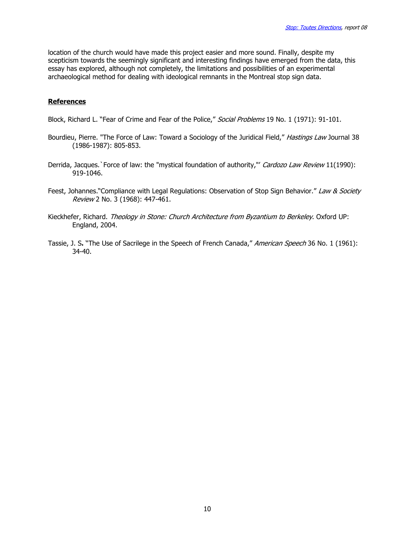location of the church would have made this project easier and more sound. Finally, despite my scepticism towards the seemingly significant and interesting findings have emerged from the data, this essay has explored, although not completely, the limitations and possibilities of an experimental archaeological method for dealing with ideological remnants in the Montreal stop sign data.

## References

Block, Richard L. "Fear of Crime and Fear of the Police," Social Problems 19 No. 1 (1971): 91-101.

- Bourdieu, Pierre. "The Force of Law: Toward a Sociology of the Juridical Field," Hastings Law Journal 38 (1986-1987): 805-853.
- Derrida, Jacques.' Force of law: the "mystical foundation of authority," Cardozo Law Review 11(1990): 919-1046.
- Feest, Johannes."Compliance with Legal Regulations: Observation of Stop Sign Behavior." Law & Society Review 2 No. 3 (1968): 447-461.
- Kieckhefer, Richard. Theology in Stone: Church Architecture from Byzantium to Berkeley. Oxford UP: England, 2004.
- Tassie, J. S. "The Use of Sacrilege in the Speech of French Canada," American Speech 36 No. 1 (1961): 34-40.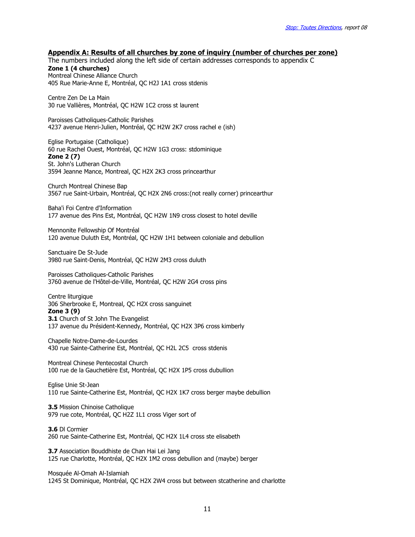## Appendix A: Results of all churches by zone of inquiry (number of churches per zone)

The numbers included along the left side of certain addresses corresponds to appendix C Zone 1 (4 churches) Montreal Chinese Alliance Church

405 Rue Marie-Anne E, Montréal, QC H2J 1A1 cross stdenis

Centre Zen De La Main 30 rue Vallières, Montréal, QC H2W 1C2 cross st laurent

Paroisses Catholiques-Catholic Parishes 4237 avenue Henri-Julien, Montréal, QC H2W 2K7 cross rachel e (ish)

Eglise Portugaise (Catholique) 60 rue Rachel Ouest, Montréal, QC H2W 1G3 cross: stdominique Zone 2 (7) St. John's Lutheran Church 3594 Jeanne Mance, Montreal, QC H2X 2K3 cross princearthur

Church Montreal Chinese Bap 3567 rue Saint-Urbain, Montréal, QC H2X 2N6 cross:(not really corner) princearthur

Baha'i Foi Centre d'Information 177 avenue des Pins Est, Montréal, QC H2W 1N9 cross closest to hotel deville

Mennonite Fellowship Of Montréal 120 avenue Duluth Est, Montréal, QC H2W 1H1 between coloniale and debullion

Sanctuaire De St-Jude 3980 rue Saint-Denis, Montréal, QC H2W 2M3 cross duluth

Paroisses Catholiques-Catholic Parishes 3760 avenue de l'Hôtel-de-Ville, Montréal, QC H2W 2G4 cross pins

Centre liturgique 306 Sherbrooke E, Montreal, QC H2X cross sanguinet

Zone 3 (9) **3.1** Church of St John The Evangelist 137 avenue du Président-Kennedy, Montréal, QC H2X 3P6 cross kimberly

Chapelle Notre-Dame-de-Lourdes 430 rue Sainte-Catherine Est, Montréal, QC H2L 2C5 cross stdenis

Montreal Chinese Pentecostal Church 100 rue de la Gauchetière Est, Montréal, QC H2X 1P5 cross dubullion

Eglise Unie St-Jean 110 rue Sainte-Catherine Est, Montréal, QC H2X 1K7 cross berger maybe debullion

3.5 Mission Chinoise Catholique 979 rue cote, Montréal, QC H2Z 1L1 cross Viger sort of

3.6 Dl Cormier 260 rue Sainte-Catherine Est, Montréal, QC H2X 1L4 cross ste elisabeth

3.7 Association Bouddhiste de Chan Hai Lei Jang 125 rue Charlotte, Montréal, QC H2X 1M2 cross debullion and (maybe) berger

Mosquée Al-Omah Al-Islamiah 1245 St Dominique, Montréal, QC H2X 2W4 cross but between stcatherine and charlotte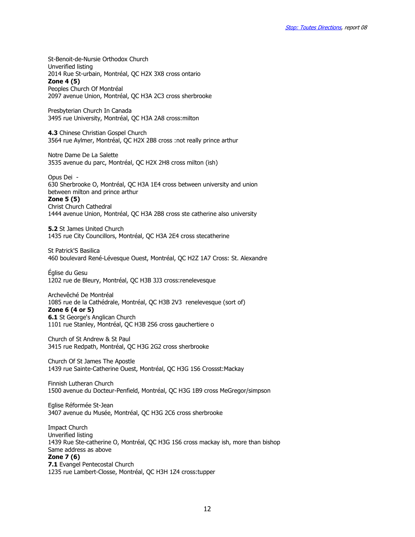St-Benoit-de-Nursie Orthodox Church Unverified listing 2014 Rue St-urbain, Montréal, QC H2X 3X8 cross ontario Zone 4 (5) Peoples Church Of Montréal 2097 avenue Union, Montréal, QC H3A 2C3 cross sherbrooke

Presbyterian Church In Canada 3495 rue University, Montréal, QC H3A 2A8 cross:milton

**4.3** Chinese Christian Gospel Church 3564 rue Aylmer, Montréal, QC H2X 2B8 cross :not really prince arthur

Notre Dame De La Salette 3535 avenue du parc, Montréal, QC H2X 2H8 cross milton (ish)

Opus Dei - 630 Sherbrooke O, Montréal, QC H3A 1E4 cross between university and union between milton and prince arthur Zone 5 (5) Christ Church Cathedral 1444 avenue Union, Montréal, QC H3A 2B8 cross ste catherine also university

5.2 St James United Church 1435 rue City Councillors, Montréal, QC H3A 2E4 cross stecatherine

St Patrick'S Basilica 460 boulevard René-Lévesque Ouest, Montréal, QC H2Z 1A7 Cross: St. Alexandre

Église du Gesu 1202 rue de Bleury, Montréal, QC H3B 3J3 cross:renelevesque

Archevêché De Montréal 1085 rue de la Cathédrale, Montréal, QC H3B 2V3 renelevesque (sort of) Zone 6 (4 or 5) **6.1** St George's Anglican Church 1101 rue Stanley, Montréal, QC H3B 2S6 cross gauchertiere o

Church of St Andrew & St Paul 3415 rue Redpath, Montréal, QC H3G 2G2 cross sherbrooke

Church Of St James The Apostle 1439 rue Sainte-Catherine Ouest, Montréal, QC H3G 1S6 Crossst:Mackay

Finnish Lutheran Church 1500 avenue du Docteur-Penfield, Montréal, QC H3G 1B9 cross MeGregor/simpson

Eglise Réformée St-Jean 3407 avenue du Musée, Montréal, QC H3G 2C6 cross sherbrooke

Impact Church Unverified listing 1439 Rue Ste-catherine O, Montréal, QC H3G 1S6 cross mackay ish, more than bishop Same address as above Zone 7 (6) 7.1 Evangel Pentecostal Church 1235 rue Lambert-Closse, Montréal, QC H3H 1Z4 cross:tupper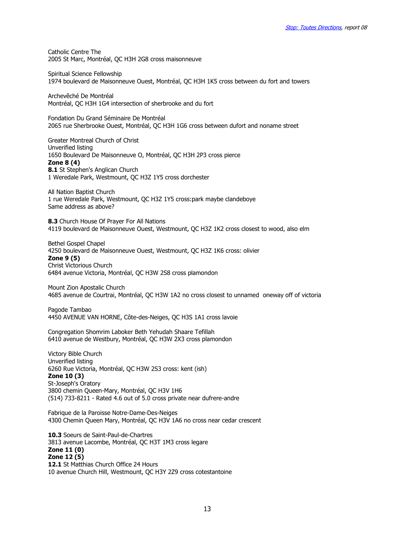Catholic Centre The 2005 St Marc, Montréal, QC H3H 2G8 cross maisonneuve

Spiritual Science Fellowship 1974 boulevard de Maisonneuve Ouest, Montréal, QC H3H 1K5 cross between du fort and towers

Archevêché De Montréal Montréal, QC H3H 1G4 intersection of sherbrooke and du fort

Fondation Du Grand Séminaire De Montréal 2065 rue Sherbrooke Ouest, Montréal, QC H3H 1G6 cross between dufort and noname street

Greater Montreal Church of Christ Unverified listing 1650 Boulevard De Maisonneuve O, Montréal, QC H3H 2P3 cross pierce Zone 8 (4) 8.1 St Stephen's Anglican Church 1 Weredale Park, Westmount, QC H3Z 1Y5 cross dorchester

All Nation Baptist Church 1 rue Weredale Park, Westmount, QC H3Z 1Y5 cross:park maybe clandeboye Same address as above?

8.3 Church House Of Prayer For All Nations 4119 boulevard de Maisonneuve Ouest, Westmount, QC H3Z 1K2 cross closest to wood, also elm

Bethel Gospel Chapel 4250 boulevard de Maisonneuve Ouest, Westmount, QC H3Z 1K6 cross: olivier Zone 9 (5) Christ Victorious Church 6484 avenue Victoria, Montréal, QC H3W 2S8 cross plamondon

Mount Zion Apostalic Church 4685 avenue de Courtrai, Montréal, QC H3W 1A2 no cross closest to unnamed oneway off of victoria

Pagode Tambao 4450 AVENUE VAN HORNE, Côte-des-Neiges, QC H3S 1A1 cross lavoie

Congregation Shomrim Laboker Beth Yehudah Shaare Tefillah 6410 avenue de Westbury, Montréal, QC H3W 2X3 cross plamondon

Victory Bible Church Unverified listing 6260 Rue Victoria, Montréal, QC H3W 2S3 cross: kent (ish) Zone 10 (3) St-Joseph's Oratory 3800 chemin Queen-Mary, Montréal, QC H3V 1H6 (514) 733-8211 - Rated 4.6 out of 5.0 cross private near dufrere-andre

Fabrique de la Paroisse Notre-Dame-Des-Neiges 4300 Chemin Queen Mary, Montréal, QC H3V 1A6 no cross near cedar crescent

10.3 Soeurs de Saint-Paul-de-Chartres 3813 avenue Lacombe, Montréal, QC H3T 1M3 cross legare Zone 11 (0) Zone 12 (5) 12.1 St Matthias Church Office 24 Hours 10 avenue Church Hill, Westmount, QC H3Y 2Z9 cross cotestantoine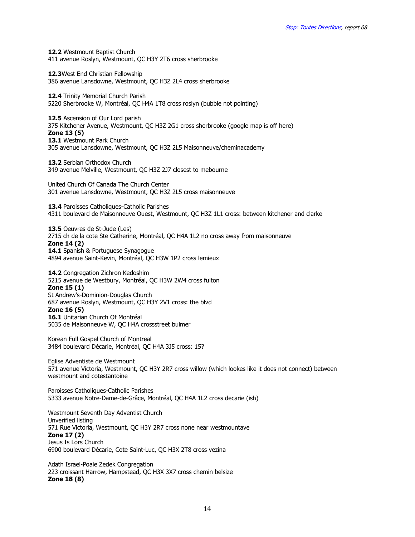12.2 Westmount Baptist Church 411 avenue Roslyn, Westmount, QC H3Y 2T6 cross sherbrooke

12.3West End Christian Fellowship 386 avenue Lansdowne, Westmount, QC H3Z 2L4 cross sherbrooke

12.4 Trinity Memorial Church Parish 5220 Sherbrooke W, Montréal, QC H4A 1T8 cross roslyn (bubble not pointing)

12.5 Ascension of Our Lord parish 375 Kitchener Avenue, Westmount, QC H3Z 2G1 cross sherbrooke (google map is off here) Zone 13 (5) 13.1 Westmount Park Church 305 avenue Lansdowne, Westmount, QC H3Z 2L5 Maisonneuve/cheminacademy

13.2 Serbian Orthodox Church 349 avenue Melville, Westmount, QC H3Z 2J7 closest to mebourne

United Church Of Canada The Church Center 301 avenue Lansdowne, Westmount, QC H3Z 2L5 cross maisonneuve

13.4 Paroisses Catholiques-Catholic Parishes 4311 boulevard de Maisonneuve Ouest, Westmount, QC H3Z 1L1 cross: between kitchener and clarke

13.5 Oeuvres de St-Jude (Les) 2715 ch de la cote Ste Catherine, Montréal, QC H4A 1L2 no cross away from maisonneuve Zone 14 (2) 14.1 Spanish & Portuguese Synagogue 4894 avenue Saint-Kevin, Montréal, QC H3W 1P2 cross lemieux

14.2 Congregation Zichron Kedoshim 5215 avenue de Westbury, Montréal, QC H3W 2W4 cross fulton Zone 15 (1) St Andrew's-Dominion-Douglas Church 687 avenue Roslyn, Westmount, QC H3Y 2V1 cross: the blvd Zone 16 (5) 16.1 Unitarian Church Of Montréal 5035 de Maisonneuve W, QC H4A crossstreet bulmer

Korean Full Gospel Church of Montreal 3484 boulevard Décarie, Montréal, QC H4A 3J5 cross: 15?

Eglise Adventiste de Westmount 571 avenue Victoria, Westmount, QC H3Y 2R7 cross willow (which lookes like it does not connect) between westmount and cotestantoine

Paroisses Catholiques-Catholic Parishes 5333 avenue Notre-Dame-de-Grâce, Montréal, QC H4A 1L2 cross decarie (ish)

Westmount Seventh Day Adventist Church Unverified listing 571 Rue Victoria, Westmount, QC H3Y 2R7 cross none near westmountave Zone 17 (2) Jesus Is Lors Church 6900 boulevard Décarie, Cote Saint-Luc, QC H3X 2T8 cross vezina

Adath Israel-Poale Zedek Congregation 223 croissant Harrow, Hampstead, QC H3X 3X7 cross chemin belsize Zone 18 (8)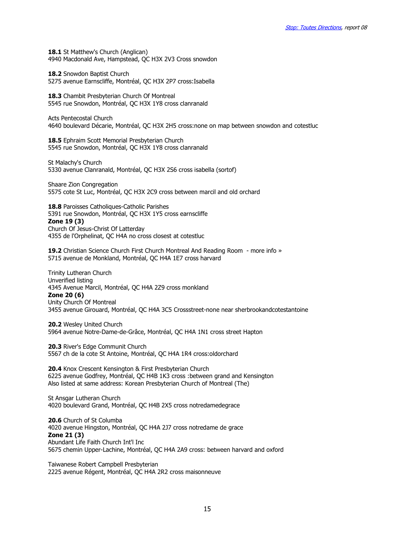18.1 St Matthew's Church (Anglican) 4940 Macdonald Ave, Hampstead, QC H3X 2V3 Cross snowdon

18.2 Snowdon Baptist Church 5275 avenue Earnscliffe, Montréal, QC H3X 2P7 cross:Isabella

18.3 Chambit Presbyterian Church Of Montreal 5545 rue Snowdon, Montréal, QC H3X 1Y8 cross clanranald

Acts Pentecostal Church 4640 boulevard Décarie, Montréal, QC H3X 2H5 cross:none on map between snowdon and cotestluc

18.5 Ephraim Scott Memorial Presbyterian Church 5545 rue Snowdon, Montréal, QC H3X 1Y8 cross clanranald

St Malachy's Church 5330 avenue Clanranald, Montréal, QC H3X 2S6 cross isabella (sortof)

Shaare Zion Congregation 5575 cote St Luc, Montréal, QC H3X 2C9 cross between marcil and old orchard

18.8 Paroisses Catholiques-Catholic Parishes 5391 rue Snowdon, Montréal, QC H3X 1Y5 cross earnscliffe Zone 19 (3) Church Of Jesus-Christ Of Latterday

4355 de l'Orphelinat, QC H4A no cross closest at cotestluc

19.2 Christian Science Church First Church Montreal And Reading Room - more info » 5715 avenue de Monkland, Montréal, QC H4A 1E7 cross harvard

Trinity Lutheran Church Unverified listing 4345 Avenue Marcil, Montréal, QC H4A 2Z9 cross monkland Zone 20 (6) Unity Church Of Montreal 3455 avenue Girouard, Montréal, QC H4A 3C5 Crossstreet-none near sherbrookandcotestantoine

20.2 Wesley United Church 5964 avenue Notre-Dame-de-Grâce, Montréal, QC H4A 1N1 cross street Hapton

20.3 River's Edge Communit Church 5567 ch de la cote St Antoine, Montréal, QC H4A 1R4 cross:oldorchard

20.4 Knox Crescent Kensington & First Presbyterian Church 6225 avenue Godfrey, Montréal, QC H4B 1K3 cross :between grand and Kensington Also listed at same address: Korean Presbyterian Church of Montreal (The)

St Ansgar Lutheran Church 4020 boulevard Grand, Montréal, QC H4B 2X5 cross notredamedegrace

20.6 Church of St Columba 4020 avenue Hingston, Montréal, QC H4A 2J7 cross notredame de grace Zone 21 (3) Abundant Life Faith Church Int'l Inc 5675 chemin Upper-Lachine, Montréal, QC H4A 2A9 cross: between harvard and oxford

Taiwanese Robert Campbell Presbyterian 2225 avenue Régent, Montréal, QC H4A 2R2 cross maisonneuve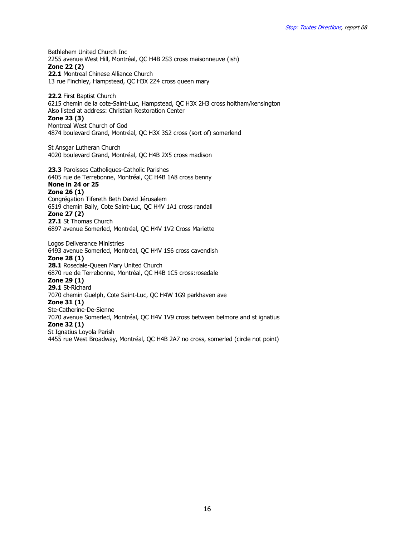Bethlehem United Church Inc 2255 avenue West Hill, Montréal, QC H4B 2S3 cross maisonneuve (ish)

Zone 22 (2)

22.1 Montreal Chinese Alliance Church 13 rue Finchley, Hampstead, QC H3X 2Z4 cross queen mary

22.2 First Baptist Church 6215 chemin de la cote-Saint-Luc, Hampstead, QC H3X 2H3 cross holtham/kensington Also listed at address: Christian Restoration Center Zone 23 (3) Montreal West Church of God 4874 boulevard Grand, Montréal, QC H3X 3S2 cross (sort of) somerlend

St Ansgar Lutheran Church 4020 boulevard Grand, Montréal, QC H4B 2X5 cross madison

23.3 Paroisses Catholiques-Catholic Parishes 6405 rue de Terrebonne, Montréal, QC H4B 1A8 cross benny None in 24 or 25

#### Zone 26 (1)

Congrégation Tifereth Beth David Jérusalem 6519 chemin Baily, Cote Saint-Luc, QC H4V 1A1 cross randall Zone 27 (2) 27.1 St Thomas Church

6897 avenue Somerled, Montréal, QC H4V 1V2 Cross Mariette

Logos Deliverance Ministries 6493 avenue Somerled, Montréal, QC H4V 1S6 cross cavendish Zone 28 (1) 28.1 Rosedale-Queen Mary United Church 6870 rue de Terrebonne, Montréal, QC H4B 1C5 cross:rosedale Zone 29 (1) 29.1 St-Richard 7070 chemin Guelph, Cote Saint-Luc, QC H4W 1G9 parkhaven ave Zone 31 (1) Ste-Catherine-De-Sienne 7070 avenue Somerled, Montréal, QC H4V 1V9 cross between belmore and st ignatius Zone 32 (1) St Ignatius Loyola Parish 4455 rue West Broadway, Montréal, QC H4B 2A7 no cross, somerled (circle not point)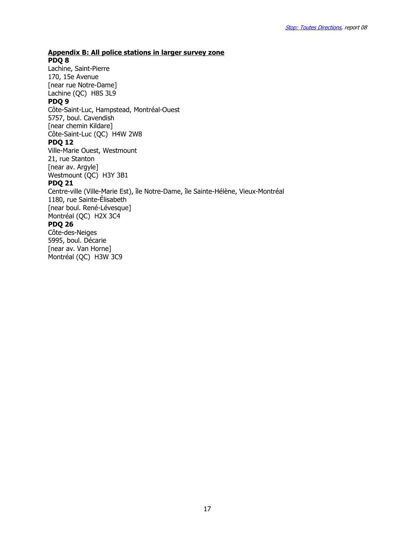## Appendix B: All police stations in larger survey zone PDQ 8

Lachine, Saint-Pierre 170, 15e Avenue [near rue Notre-Dame] Lachine (QC) H8S 3L9 PDQ 9 Côte-Saint-Luc, Hampstead, Montréal-Ouest 5757, boul. Cavendish [near chemin Kildare] Côte-Saint-Luc (QC) H4W 2W8 PDQ 12 Ville-Marie Ouest, Westmount 21, rue Stanton [near av. Argyle] Westmount (QC) H3Y 3B1 PDQ 21 Centre-ville (Ville-Marie Est), île Notre-Dame, île Sainte-Hélène, Vieux-Montréal 1180, rue Sainte-Élisabeth [near boul. René-Lévesque] Montréal (QC) H2X 3C4 PDQ 26 Côte-des-Neiges 5995, boul. Décarie [near av. Van Horne] Montréal (QC) H3W 3C9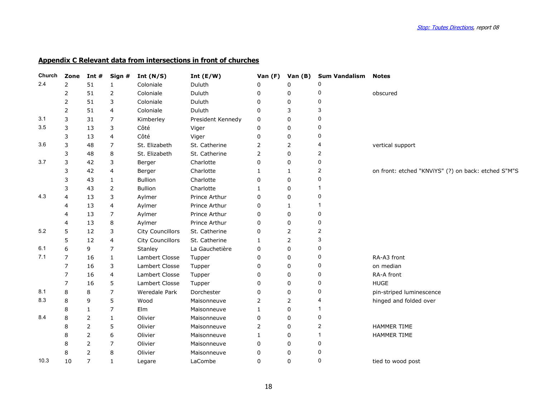# Appendix C Relevant data from intersections in front of churches

| Church | Zone           | Int #          | Sign #       | Int $(N/S)$      | Int $(E/W)$       | Van (F)  | Van (B)      | <b>Sum Vandalism Notes</b> |                                                     |
|--------|----------------|----------------|--------------|------------------|-------------------|----------|--------------|----------------------------|-----------------------------------------------------|
| 2.4    | $\overline{2}$ | 51             | 1            | Coloniale        | Duluth            | n        | $\Omega$     |                            |                                                     |
|        | 2              | 51             | 2            | Coloniale        | Duluth            | n        | O            | 0                          | obscured                                            |
|        | 2              | 51             | 3            | Coloniale        | Duluth            | $\Omega$ | 0            | 0                          |                                                     |
|        | 2              | 51             | 4            | Coloniale        | Duluth            | 0        | 3            | 3                          |                                                     |
| 3.1    | 3              | 31             | 7            | Kimberley        | President Kennedy | 0        | $\Omega$     | 0                          |                                                     |
| 3.5    | 3              | 13             | 3            | Côté             | Viger             | 0        | $\mathbf 0$  | 0                          |                                                     |
|        | 3              | 13             | 4            | Côté             | Viger             | 0        | 0            | 0                          |                                                     |
| 3.6    | 3              | 48             | 7            | St. Elizabeth    | St. Catherine     | 2        | 2            | 4                          | vertical support                                    |
|        | 3              | 48             | 8            | St. Elizabeth    | St. Catherine     | 2        | $\mathbf 0$  | 2                          |                                                     |
| 3.7    | 3              | 42             | 3            | Berger           | Charlotte         | $\Omega$ | $\Omega$     | 0                          |                                                     |
|        | 3              | 42             | 4            | Berger           | Charlotte         |          | 1            | 2                          | on front: etched "KNViYS" (?) on back: etched S"M"S |
|        | 3              | 43             | $\mathbf{1}$ | Bullion          | Charlotte         | O        | 0            | 0                          |                                                     |
|        | 3              | 43             | 2            | <b>Bullion</b>   | Charlotte         |          | 0            |                            |                                                     |
| 4.3    | 4              | 13             | 3            | Aylmer           | Prince Arthur     | $\Omega$ | $\Omega$     | 0                          |                                                     |
|        | 4              | 13             | 4            | Aylmer           | Prince Arthur     | 0        | $\mathbf{1}$ | -1                         |                                                     |
|        | 4              | 13             | 7            | Aylmer           | Prince Arthur     | $\Omega$ | $\Omega$     | 0                          |                                                     |
|        | 4              | 13             | 8            | Aylmer           | Prince Arthur     | 0        | 0            | 0                          |                                                     |
| 5.2    | 5              | 12             | 3            | City Councillors | St. Catherine     | 0        | 2            | 2                          |                                                     |
|        | 5              | 12             | 4            | City Councillors | St. Catherine     |          | 2            | 3                          |                                                     |
| 6.1    | 6              | 9              | 7            | Stanley          | La Gauchetière    | 0        | $\mathbf 0$  | 0                          |                                                     |
| 7.1    | 7              | 16             | $\mathbf{1}$ | Lambert Closse   | Tupper            | $\Omega$ | 0            | 0                          | RA-A3 front                                         |
|        | 7              | 16             | 3            | Lambert Closse   | Tupper            | 0        | 0            | 0                          | on median                                           |
|        | 7              | 16             | 4            | Lambert Closse   | Tupper            | 0        | 0            | 0                          | RA-A front                                          |
|        | 7              | 16             | 5            | Lambert Closse   | Tupper            | 0        | $\Omega$     | 0                          | <b>HUGE</b>                                         |
| 8.1    | 8              | 8              | 7            | Weredale Park    | Dorchester        | 0        | 0            | 0                          | pin-striped luminescence                            |
| 8.3    | 8              | 9              | 5            | Wood             | Maisonneuve       | 2        | 2            | 4                          | hinged and folded over                              |
|        | 8              | 1              | 7            | Elm              | Maisonneuve       | -1       | 0            | 1                          |                                                     |
| 8.4    | 8              | 2              | $\mathbf{1}$ | Olivier          | Maisonneuve       | 0        | 0            | 0                          |                                                     |
|        | 8              | $\overline{2}$ | 5            | Olivier          | Maisonneuve       | 2        | 0            | 2                          | HAMMER TIME                                         |
|        | 8              | 2              | 6            | Olivier          | Maisonneuve       |          | 0            |                            | <b>HAMMER TIME</b>                                  |
|        | 8              | 2              | 7            | Olivier          | Maisonneuve       | 0        | $\Omega$     | 0                          |                                                     |
|        | 8              | 2              | 8            | Olivier          | Maisonneuve       | 0        | 0            | 0                          |                                                     |
| 10.3   | 10             | 7              | 1            | Legare           | LaCombe           | 0        | $\Omega$     | 0                          | tied to wood post                                   |
|        |                |                |              |                  |                   |          |              |                            |                                                     |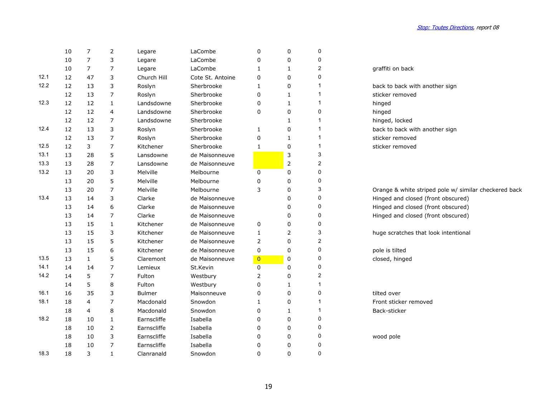|      | 10 | 7              | $\overline{2}$ | Legare        | LaCombe          | 0              | 0              | 0                       |                                      |
|------|----|----------------|----------------|---------------|------------------|----------------|----------------|-------------------------|--------------------------------------|
|      | 10 | $\overline{7}$ | 3              | Legare        | LaCombe          | 0              | $\mathbf 0$    | 0                       |                                      |
|      | 10 | $\overline{7}$ | $\overline{7}$ | Legare        | LaCombe          | 1              | $\mathbf{1}$   | $\overline{c}$          | graffiti on back                     |
| 12.1 | 12 | 47             | 3              | Church Hill   | Cote St. Antoine | 0              | 0              | 0                       |                                      |
| 12.2 | 12 | 13             | 3              | Roslyn        | Sherbrooke       | 1              | 0              | 1                       | back to back with another sign       |
|      | 12 | 13             | $\overline{7}$ | Roslyn        | Sherbrooke       | 0              | $\mathbf{1}$   | 1                       | sticker removed                      |
| 12.3 | 12 | 12             | 1              | Landsdowne    | Sherbrooke       | 0              | 1              | 1                       | hinged                               |
|      | 12 | 12             | 4              | Landsdowne    | Sherbrooke       | 0              | 0              | 0                       | hinged                               |
|      | 12 | 12             | $\overline{7}$ | Landsdowne    | Sherbrooke       |                | $\mathbf{1}$   | 1                       | hinged, locked                       |
| 12.4 | 12 | 13             | 3              | Roslyn        | Sherbrooke       | 1              | 0              | 1                       | back to back with another sign       |
|      | 12 | 13             | $\overline{7}$ | Roslyn        | Sherbrooke       | $\mathbf 0$    | 1              | 1                       | sticker removed                      |
| 12.5 | 12 | 3              | $\overline{7}$ | Kitchener     | Sherbrooke       | $\mathbf{1}$   | 0              | $\mathbf{1}$            | sticker removed                      |
| 13.1 | 13 | 28             | 5              | Lansdowne     | de Maisonneuve   |                | 3              | 3                       |                                      |
| 13.3 | 13 | 28             | $\overline{7}$ | Lansdowne     | de Maisonneuve   |                | $\overline{2}$ | $\overline{\mathbf{c}}$ |                                      |
| 13.2 | 13 | 20             | 3              | Melville      | Melbourne        | 0              | 0              | 0                       |                                      |
|      | 13 | 20             | 5              | Melville      | Melbourne        | 0              | 0              | 0                       |                                      |
|      | 13 | 20             | $\overline{7}$ | Melville      | Melbourne        | 3              | 0              | 3                       | Orange & white striped pole w/ simi  |
| 13.4 | 13 | 14             | 3              | Clarke        | de Maisonneuve   |                | $\Omega$       | 0                       | Hinged and closed (front obscured)   |
|      | 13 | 14             | 6              | Clarke        | de Maisonneuve   |                | 0              | 0                       | Hinged and closed (front obscured)   |
|      | 13 | 14             | $\overline{7}$ | Clarke        | de Maisonneuve   |                | 0              | 0                       | Hinged and closed (front obscured)   |
|      | 13 | 15             | $\mathbf{1}$   | Kitchener     | de Maisonneuve   | 0              | 0              | 0                       |                                      |
|      | 13 | 15             | 3              | Kitchener     | de Maisonneuve   | 1              | 2              | 3                       | huge scratches that look intentional |
|      | 13 | 15             | 5              | Kitchener     | de Maisonneuve   | 2              | 0              | 2                       |                                      |
|      | 13 | 15             | 6              | Kitchener     | de Maisonneuve   | 0              | $\mathbf{0}$   | 0                       | pole is tilted                       |
| 13.5 | 13 | $\mathbf{1}$   | 5              | Claremont     | de Maisonneuve   | $\overline{0}$ | 0              | 0                       | closed, hinged                       |
| 14.1 | 14 | 14             | $\overline{7}$ | Lemieux       | St.Kevin         | 0              | 0              | 0                       |                                      |
| 14.2 | 14 | 5              | $\overline{7}$ | Fulton        | Westbury         | 2              | 0              | $\overline{c}$          |                                      |
|      | 14 | 5              | 8              | Fulton        | Westbury         | 0              | 1              | 1                       |                                      |
| 16.1 | 16 | 35             | 3              | <b>Bulmer</b> | Maisonneuve      | 0              | 0              | 0                       | tilted over                          |
| 18.1 | 18 | 4              | $\overline{7}$ | Macdonald     | Snowdon          | 1              | $\Omega$       | 1                       | Front sticker removed                |
|      | 18 | 4              | 8              | Macdonald     | Snowdon          | 0              | 1              | 1                       | Back-sticker                         |
| 18.2 | 18 | 10             | $\mathbf{1}$   | Earnscliffe   | Isabella         | 0              | 0              | 0                       |                                      |
|      | 18 | 10             | 2              | Earnscliffe   | Isabella         | 0              | 0              | 0                       |                                      |
|      | 18 | 10             | 3              | Earnscliffe   | Isabella         | 0              | 0              | 0                       | wood pole                            |
|      | 18 | 10             | $\overline{7}$ | Earnscliffe   | Isabella         | 0              | 0              | 0                       |                                      |
| 18.3 | 18 | 3              | $\mathbf{1}$   | Clanranald    | Snowdon          | $\mathbf 0$    | $\mathbf{0}$   | 0                       |                                      |
|      |    |                |                |               |                  |                |                |                         |                                      |

#### graffiti on back

Orange & white striped pole w/ similar checkered back Hinged and closed (front obscured)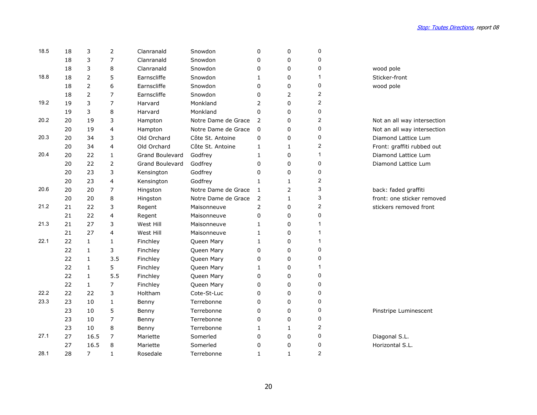| 18.5 | 18 | 3              | $\overline{2}$          | Clanranald             | Snowdon             | 0            | 0            | 0              |                             |
|------|----|----------------|-------------------------|------------------------|---------------------|--------------|--------------|----------------|-----------------------------|
|      | 18 | 3              | 7                       | Clanranald             | Snowdon             | 0            | 0            | 0              |                             |
|      | 18 | 3              | 8                       | Clanranald             | Snowdon             | 0            | 0            | 0              | wood pole                   |
| 18.8 | 18 | $\overline{2}$ | 5                       | Earnscliffe            | Snowdon             | 1            | 0            | 1              | Sticker-front               |
|      | 18 | $\overline{2}$ | 6                       | Earnscliffe            | Snowdon             | 0            | 0            | 0              | wood pole                   |
|      | 18 | 2              | 7                       | Earnscliffe            | Snowdon             | 0            | 2            | $\overline{2}$ |                             |
| 19.2 | 19 | 3              | $\overline{7}$          | Harvard                | Monkland            | 2            | 0            | 2              |                             |
|      | 19 | 3              | 8                       | Harvard                | Monkland            | 0            | 0            | 0              |                             |
| 20.2 | 20 | 19             | 3                       | Hampton                | Notre Dame de Grace | 2            | 0            | 2              | Not an all way intersection |
|      | 20 | 19             | 4                       | Hampton                | Notre Dame de Grace | 0            | 0            | 0              | Not an all way intersection |
| 20.3 | 20 | 34             | 3                       | Old Orchard            | Côte St. Antoine    | 0            | 0            | 0              | Diamond Lattice Lum         |
|      | 20 | 34             | 4                       | Old Orchard            | Côte St. Antoine    | 1            | 1            | 2              | Front: graffiti rubbed out  |
| 20.4 | 20 | 22             | $\mathbf{1}$            | Grand Boulevard        | Godfrey             | $\mathbf{1}$ | 0            | 1              | Diamond Lattice Lum         |
|      | 20 | 22             | $\overline{2}$          | <b>Grand Boulevard</b> | Godfrey             | 0            | 0            | 0              | Diamond Lattice Lum         |
|      | 20 | 23             | 3                       | Kensington             | Godfrey             | 0            | 0            | 0              |                             |
|      | 20 | 23             | $\overline{\mathbf{4}}$ | Kensington             | Godfrey             | $\mathbf{1}$ | 1            | $\overline{c}$ |                             |
| 20.6 | 20 | 20             | $\overline{7}$          | Hingston               | Notre Dame de Grace | 1            | 2            | 3              | back: faded graffiti        |
|      | 20 | 20             | 8                       | Hingston               | Notre Dame de Grace | 2            | $\mathbf{1}$ | 3              | front: one sticker removed  |
| 21.2 | 21 | 22             | 3                       | Regent                 | Maisonneuve         | 2            | 0            | 2              | stickers removed front      |
|      | 21 | 22             | $\overline{4}$          | Regent                 | Maisonneuve         | 0            | 0            | 0              |                             |
| 21.3 | 21 | 27             | 3                       | West Hill              | Maisonneuve         | 1            | 0            | 1              |                             |
|      | 21 | 27             | 4                       | West Hill              | Maisonneuve         | $\mathbf{1}$ | 0            | 1              |                             |
| 22.1 | 22 | $\mathbf{1}$   | 1                       | Finchley               | Queen Mary          | 1            | 0            | 1              |                             |
|      | 22 | 1              | 3                       | Finchley               | Queen Mary          | 0            | 0            | 0              |                             |
|      | 22 | $\mathbf{1}$   | 3.5                     | Finchley               | Queen Mary          | 0            | 0            | 0              |                             |
|      | 22 | $\mathbf{1}$   | 5                       | Finchley               | Queen Mary          | $\mathbf{1}$ | 0            | 1              |                             |
|      | 22 | $\mathbf{1}$   | 5.5                     | Finchley               | Queen Mary          | 0            | 0            | 0              |                             |
|      | 22 | $\mathbf{1}$   | $\overline{7}$          | Finchley               | Queen Mary          | 0            | 0            | 0              |                             |
| 22.2 | 22 | 22             | 3                       | Holtham                | Cote-St-Luc         | 0            | 0            | 0              |                             |
| 23.3 | 23 | 10             | $\mathbf{1}$            | Benny                  | Terrebonne          | 0            | 0            | 0              |                             |
|      | 23 | 10             | 5                       | Benny                  | Terrebonne          | 0            | 0            | 0              | Pinstripe Luminescent       |
|      | 23 | 10             | $\overline{7}$          | Benny                  | Terrebonne          | 0            | 0            | 0              |                             |
|      | 23 | 10             | 8                       | Benny                  | Terrebonne          | 1            | 1            | 2              |                             |
| 27.1 | 27 | 16.5           | $\overline{7}$          | Mariette               | Somerled            | 0            | 0            | 0              | Diagonal S.L.               |
|      | 27 | 16.5           | 8                       | Mariette               | Somerled            | 0            | 0            | 0              | Horizontal S.L.             |
| 28.1 | 28 | $\overline{7}$ | $\mathbf{1}$            | Rosedale               | Terrebonne          | $\mathbf{1}$ | $\mathbf{1}$ | 2              |                             |